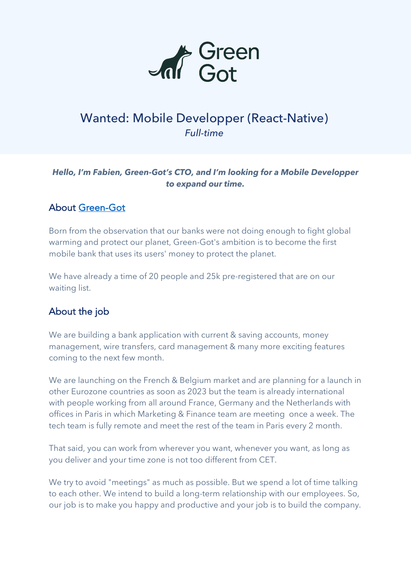

# Wanted: Mobile Developper (React-Native) *Full-time*

#### *Hello, I'm Fabien, Green-Got's CTO, and I'm looking for a Mobile Developper to expand our time.*

### About Green-Got

Born from the observation that our banks were not doing enough to fight global warming and protect our planet, Green-Got's ambition is to become the first mobile bank that uses its users' money to protect the planet.

We have already a time of 20 people and 25k pre-registered that are on our waiting list.

## About the job

We are building a bank application with current & saving accounts, money management, wire transfers, card management & many more exciting features coming to the next few month.

We are launching on the French & Belgium market and are planning for a launch in other Eurozone countries as soon as 2023 but the team is already international with people working from all around France, Germany and the Netherlands with offices in Paris in which Marketing & Finance team are meeting once a week. The tech team is fully remote and meet the rest of the team in Paris every 2 month.

That said, you can work from wherever you want, whenever you want, as long as you deliver and your time zone is not too different from CET.

We try to avoid "meetings" as much as possible. But we spend a lot of time talking to each other. We intend to build a long-term relationship with our employees. So, our job is to make you happy and productive and your job is to build the company.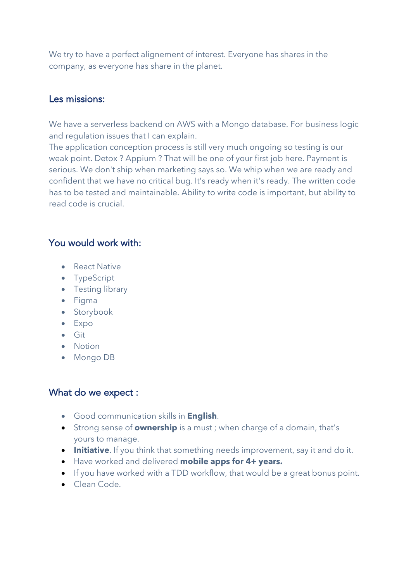We try to have a perfect alignement of interest. Everyone has shares in the company, as everyone has share in the planet.

#### Les missions:

We have a serverless backend on AWS with a Mongo database. For business logic and regulation issues that I can explain.

The application conception process is still very much ongoing so testing is our weak point. Detox ? Appium ? That will be one of your first job here. Payment is serious. We don't ship when marketing says so. We whip when we are ready and confident that we have no critical bug. It's ready when it's ready. The written code has to be tested and maintainable. Ability to write code is important, but ability to read code is crucial.

#### You would work with:

- React Native
- TypeScript
- Testing library
- Figma
- Storybook
- Expo
- Git
- Notion
- Mongo DB

#### What do we expect :

- Good communication skills in **English**.
- Strong sense of **ownership** is a must ; when charge of a domain, that's yours to manage.
- **Initiative**. If you think that something needs improvement, say it and do it.
- Have worked and delivered **mobile apps for 4+ years.**
- If you have worked with a TDD workflow, that would be a great bonus point.
- Clean Code.